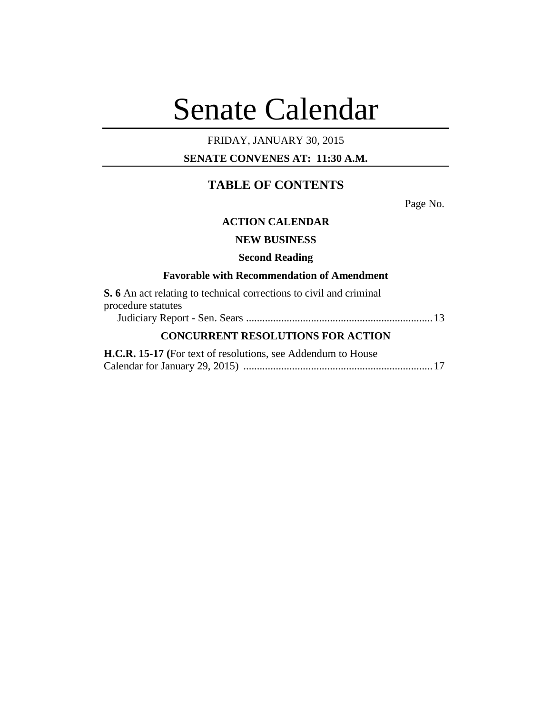# Senate Calendar

# FRIDAY, JANUARY 30, 2015

## **SENATE CONVENES AT: 11:30 A.M.**

# **TABLE OF CONTENTS**

Page No.

### **ACTION CALENDAR**

## **NEW BUSINESS**

#### **Second Reading**

### **Favorable with Recommendation of Amendment**

| <b>S.</b> 6 An act relating to technical corrections to civil and criminal |  |
|----------------------------------------------------------------------------|--|
| procedure statutes                                                         |  |
|                                                                            |  |
|                                                                            |  |

## **CONCURRENT RESOLUTIONS FOR ACTION**

| H.C.R. 15-17 (For text of resolutions, see Addendum to House |  |
|--------------------------------------------------------------|--|
|                                                              |  |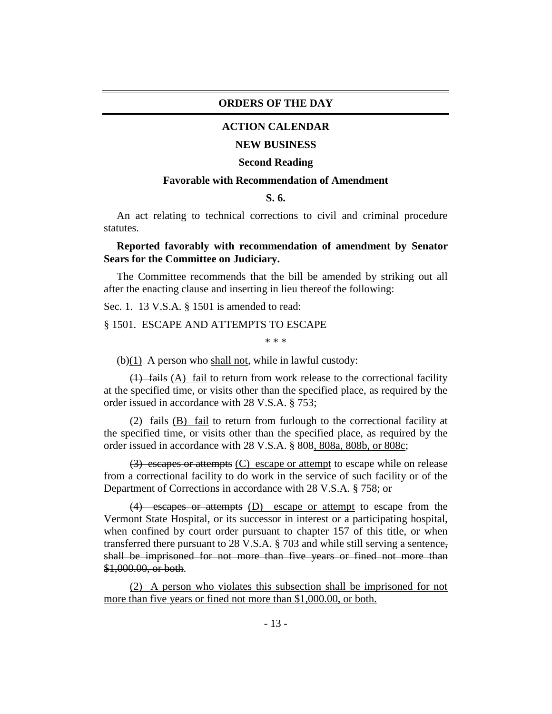#### **ORDERS OF THE DAY**

#### **ACTION CALENDAR**

#### **NEW BUSINESS**

#### **Second Reading**

#### **Favorable with Recommendation of Amendment**

#### **S. 6.**

An act relating to technical corrections to civil and criminal procedure statutes.

### **Reported favorably with recommendation of amendment by Senator Sears for the Committee on Judiciary.**

The Committee recommends that the bill be amended by striking out all after the enacting clause and inserting in lieu thereof the following:

Sec. 1. 13 V.S.A. § 1501 is amended to read:

#### § 1501. ESCAPE AND ATTEMPTS TO ESCAPE

\* \* \*

(b) $(1)$  A person who shall not, while in lawful custody:

(1) fails (A) fail to return from work release to the correctional facility at the specified time, or visits other than the specified place, as required by the order issued in accordance with 28 V.S.A. § 753;

(2) fails (B) fail to return from furlough to the correctional facility at the specified time, or visits other than the specified place, as required by the order issued in accordance with 28 V.S.A. § 808, 808a, 808b, or 808c;

 $(3)$  escapes or attempts  $(C)$  escape or attempt to escape while on release from a correctional facility to do work in the service of such facility or of the Department of Corrections in accordance with 28 V.S.A. § 758; or

(4) escapes or attempts (D) escape or attempt to escape from the Vermont State Hospital, or its successor in interest or a participating hospital, when confined by court order pursuant to chapter 157 of this title, or when transferred there pursuant to 28 V.S.A. § 703 and while still serving a sentence, shall be imprisoned for not more than five years or fined not more than \$1,000.00, or both.

(2) A person who violates this subsection shall be imprisoned for not more than five years or fined not more than \$1,000.00, or both.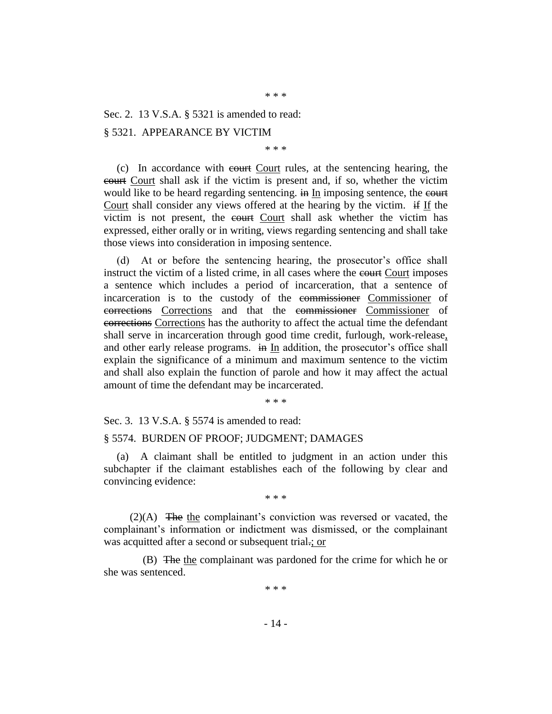\* \* \*

Sec. 2. 13 V.S.A. § 5321 is amended to read:

#### § 5321. APPEARANCE BY VICTIM

\* \* \*

(c) In accordance with court Court rules, at the sentencing hearing, the court Court shall ask if the victim is present and, if so, whether the victim would like to be heard regarding sentencing. in In imposing sentence, the court Court shall consider any views offered at the hearing by the victim. if If the victim is not present, the court Court shall ask whether the victim has expressed, either orally or in writing, views regarding sentencing and shall take those views into consideration in imposing sentence.

(d) At or before the sentencing hearing, the prosecutor's office shall instruct the victim of a listed crime, in all cases where the court imposes a sentence which includes a period of incarceration, that a sentence of incarceration is to the custody of the commissioner Commissioner of corrections Corrections and that the commissioner Commissioner of corrections Corrections has the authority to affect the actual time the defendant shall serve in incarceration through good time credit, furlough, work-release, and other early release programs. in In addition, the prosecutor's office shall explain the significance of a minimum and maximum sentence to the victim and shall also explain the function of parole and how it may affect the actual amount of time the defendant may be incarcerated.

\* \* \*

Sec. 3. 13 V.S.A. § 5574 is amended to read:

#### § 5574. BURDEN OF PROOF; JUDGMENT; DAMAGES

(a) A claimant shall be entitled to judgment in an action under this subchapter if the claimant establishes each of the following by clear and convincing evidence:

\* \* \*

(2)(A) The the complainant's conviction was reversed or vacated, the complainant's information or indictment was dismissed, or the complainant was acquitted after a second or subsequent trial.; or

(B) The the complainant was pardoned for the crime for which he or she was sentenced.

\* \* \*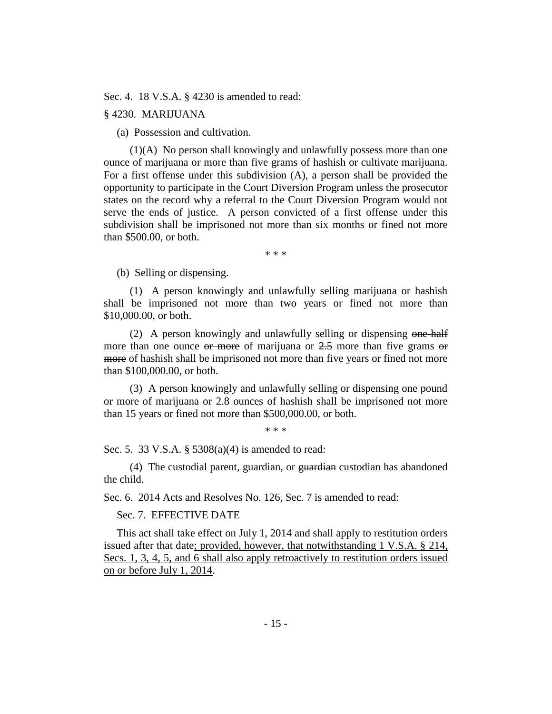Sec. 4. 18 V.S.A. § 4230 is amended to read:

#### § 4230. MARIJUANA

(a) Possession and cultivation.

(1)(A) No person shall knowingly and unlawfully possess more than one ounce of marijuana or more than five grams of hashish or cultivate marijuana. For a first offense under this subdivision (A), a person shall be provided the opportunity to participate in the Court Diversion Program unless the prosecutor states on the record why a referral to the Court Diversion Program would not serve the ends of justice. A person convicted of a first offense under this subdivision shall be imprisoned not more than six months or fined not more than \$500.00, or both.

\* \* \*

(b) Selling or dispensing.

(1) A person knowingly and unlawfully selling marijuana or hashish shall be imprisoned not more than two years or fined not more than \$10,000.00, or both.

(2) A person knowingly and unlawfully selling or dispensing one-half more than one ounce  $\theta$  more of marijuana or  $2.5$  more than five grams  $\theta$ more of hashish shall be imprisoned not more than five years or fined not more than \$100,000.00, or both.

(3) A person knowingly and unlawfully selling or dispensing one pound or more of marijuana or 2.8 ounces of hashish shall be imprisoned not more than 15 years or fined not more than \$500,000.00, or both.

\* \* \*

Sec. 5. 33 V.S.A. § 5308(a)(4) is amended to read:

(4) The custodial parent, guardian, or guardian custodian has abandoned the child.

Sec. 6. 2014 Acts and Resolves No. 126, Sec. 7 is amended to read:

Sec. 7. EFFECTIVE DATE

This act shall take effect on July 1, 2014 and shall apply to restitution orders issued after that date; provided, however, that notwithstanding 1 V.S.A. § 214, Secs. 1, 3, 4, 5, and 6 shall also apply retroactively to restitution orders issued on or before July 1, 2014.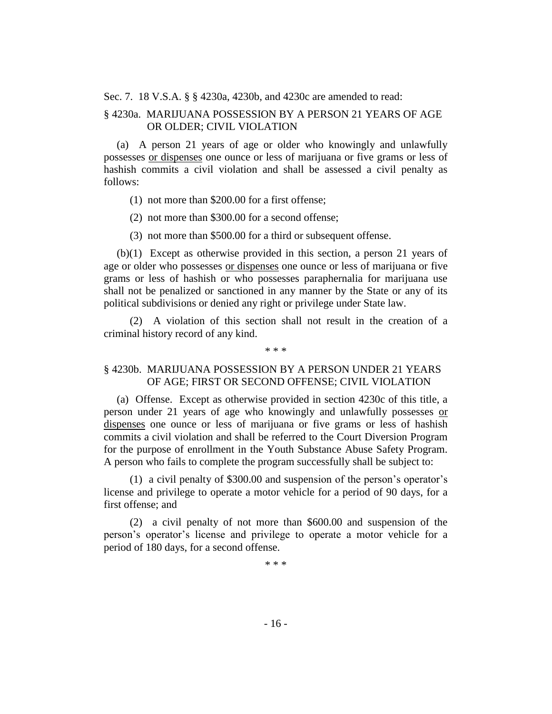Sec. 7. 18 V.S.A. § § 4230a, 4230b, and 4230c are amended to read:

## § 4230a. MARIJUANA POSSESSION BY A PERSON 21 YEARS OF AGE OR OLDER; CIVIL VIOLATION

(a) A person 21 years of age or older who knowingly and unlawfully possesses or dispenses one ounce or less of marijuana or five grams or less of hashish commits a civil violation and shall be assessed a civil penalty as follows:

- (1) not more than \$200.00 for a first offense;
- (2) not more than \$300.00 for a second offense;
- (3) not more than \$500.00 for a third or subsequent offense.

(b)(1) Except as otherwise provided in this section, a person 21 years of age or older who possesses or dispenses one ounce or less of marijuana or five grams or less of hashish or who possesses paraphernalia for marijuana use shall not be penalized or sanctioned in any manner by the State or any of its political subdivisions or denied any right or privilege under State law.

(2) A violation of this section shall not result in the creation of a criminal history record of any kind.

#### \* \* \*

## § 4230b. MARIJUANA POSSESSION BY A PERSON UNDER 21 YEARS OF AGE; FIRST OR SECOND OFFENSE; CIVIL VIOLATION

(a) Offense. Except as otherwise provided in section 4230c of this title, a person under 21 years of age who knowingly and unlawfully possesses or dispenses one ounce or less of marijuana or five grams or less of hashish commits a civil violation and shall be referred to the Court Diversion Program for the purpose of enrollment in the Youth Substance Abuse Safety Program. A person who fails to complete the program successfully shall be subject to:

(1) a civil penalty of \$300.00 and suspension of the person's operator's license and privilege to operate a motor vehicle for a period of 90 days, for a first offense; and

(2) a civil penalty of not more than \$600.00 and suspension of the person's operator's license and privilege to operate a motor vehicle for a period of 180 days, for a second offense.

\* \* \*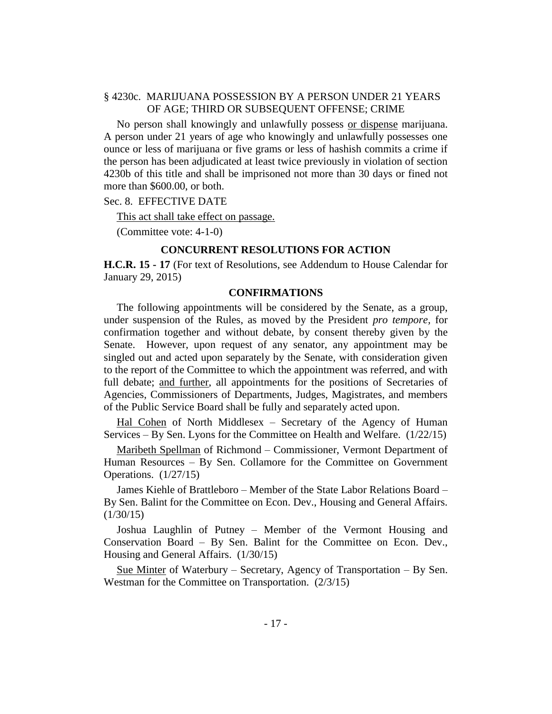## § 4230c. MARIJUANA POSSESSION BY A PERSON UNDER 21 YEARS OF AGE; THIRD OR SUBSEQUENT OFFENSE; CRIME

No person shall knowingly and unlawfully possess or dispense marijuana. A person under 21 years of age who knowingly and unlawfully possesses one ounce or less of marijuana or five grams or less of hashish commits a crime if the person has been adjudicated at least twice previously in violation of section 4230b of this title and shall be imprisoned not more than 30 days or fined not more than \$600.00, or both.

Sec. 8. EFFECTIVE DATE

This act shall take effect on passage.

(Committee vote: 4-1-0)

#### **CONCURRENT RESOLUTIONS FOR ACTION**

**H.C.R. 15 - 17** (For text of Resolutions, see Addendum to House Calendar for January 29, 2015)

#### **CONFIRMATIONS**

The following appointments will be considered by the Senate, as a group, under suspension of the Rules, as moved by the President *pro tempore,* for confirmation together and without debate, by consent thereby given by the Senate. However, upon request of any senator, any appointment may be singled out and acted upon separately by the Senate, with consideration given to the report of the Committee to which the appointment was referred, and with full debate; and further, all appointments for the positions of Secretaries of Agencies, Commissioners of Departments, Judges, Magistrates, and members of the Public Service Board shall be fully and separately acted upon.

Hal Cohen of North Middlesex – Secretary of the Agency of Human Services – By Sen. Lyons for the Committee on Health and Welfare. (1/22/15)

Maribeth Spellman of Richmond – Commissioner, Vermont Department of Human Resources – By Sen. Collamore for the Committee on Government Operations. (1/27/15)

James Kiehle of Brattleboro – Member of the State Labor Relations Board – By Sen. Balint for the Committee on Econ. Dev., Housing and General Affairs.  $(1/30/15)$ 

Joshua Laughlin of Putney – Member of the Vermont Housing and Conservation Board – By Sen. Balint for the Committee on Econ. Dev., Housing and General Affairs. (1/30/15)

Sue Minter of Waterbury – Secretary, Agency of Transportation – By Sen. Westman for the Committee on Transportation. (2/3/15)